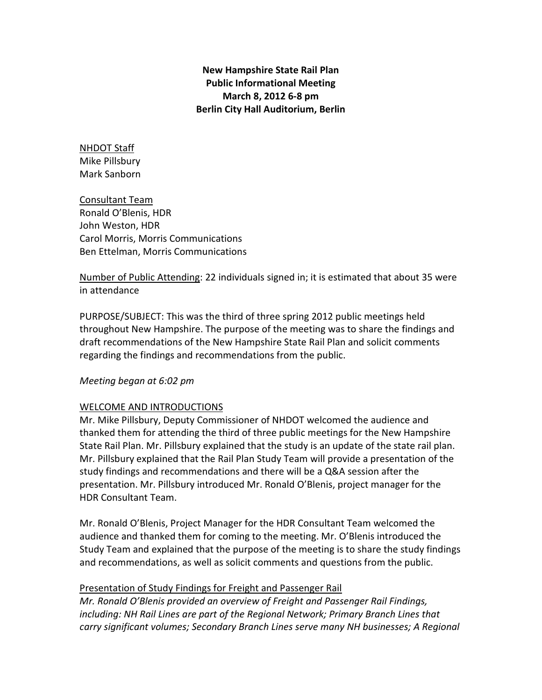New Hampshire State Rail Plan Public Informational Meeting March 8, 2012 6-8 pm Berlin City Hall Auditorium, Berlin

NHDOT Staff Mike Pillsbury Mark Sanborn

Consultant Team Ronald O'Blenis, HDR John Weston, HDR Carol Morris, Morris Communications Ben Ettelman, Morris Communications

Number of Public Attending: 22 individuals signed in; it is estimated that about 35 were in attendance

PURPOSE/SUBJECT: This was the third of three spring 2012 public meetings held throughout New Hampshire. The purpose of the meeting was to share the findings and draft recommendations of the New Hampshire State Rail Plan and solicit comments regarding the findings and recommendations from the public.

# Meeting began at 6:02 pm

# WELCOME AND INTRODUCTIONS

Mr. Mike Pillsbury, Deputy Commissioner of NHDOT welcomed the audience and thanked them for attending the third of three public meetings for the New Hampshire State Rail Plan. Mr. Pillsbury explained that the study is an update of the state rail plan. Mr. Pillsbury explained that the Rail Plan Study Team will provide a presentation of the study findings and recommendations and there will be a Q&A session after the presentation. Mr. Pillsbury introduced Mr. Ronald O'Blenis, project manager for the HDR Consultant Team.

Mr. Ronald O'Blenis, Project Manager for the HDR Consultant Team welcomed the audience and thanked them for coming to the meeting. Mr. O'Blenis introduced the Study Team and explained that the purpose of the meeting is to share the study findings and recommendations, as well as solicit comments and questions from the public.

# Presentation of Study Findings for Freight and Passenger Rail

Mr. Ronald O'Blenis provided an overview of Freight and Passenger Rail Findings, including: NH Rail Lines are part of the Regional Network; Primary Branch Lines that carry significant volumes; Secondary Branch Lines serve many NH businesses; A Regional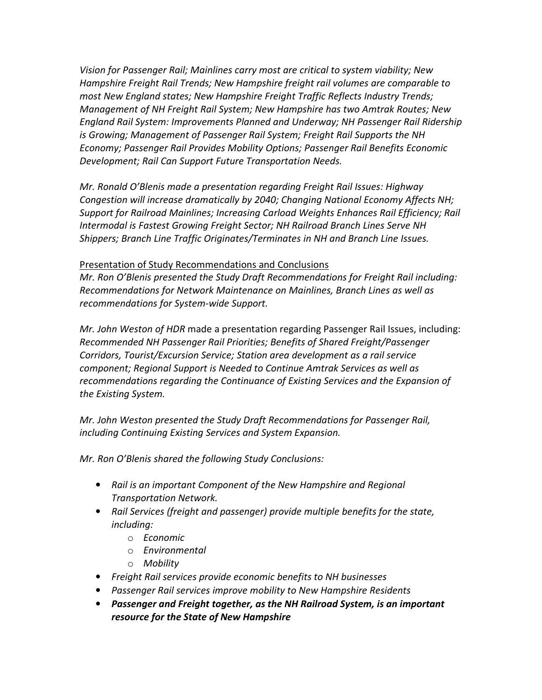Vision for Passenger Rail; Mainlines carry most are critical to system viability; New Hampshire Freight Rail Trends; New Hampshire freight rail volumes are comparable to most New England states; New Hampshire Freight Traffic Reflects Industry Trends; Management of NH Freight Rail System; New Hampshire has two Amtrak Routes; New England Rail System: Improvements Planned and Underway; NH Passenger Rail Ridership is Growing; Management of Passenger Rail System; Freight Rail Supports the NH Economy; Passenger Rail Provides Mobility Options; Passenger Rail Benefits Economic Development; Rail Can Support Future Transportation Needs.

Mr. Ronald O'Blenis made a presentation regarding Freight Rail Issues: Highway Congestion will increase dramatically by 2040; Changing National Economy Affects NH; Support for Railroad Mainlines; Increasing Carload Weights Enhances Rail Efficiency; Rail Intermodal is Fastest Growing Freight Sector; NH Railroad Branch Lines Serve NH Shippers; Branch Line Traffic Originates/Terminates in NH and Branch Line Issues.

# Presentation of Study Recommendations and Conclusions

Mr. Ron O'Blenis presented the Study Draft Recommendations for Freight Rail including: Recommendations for Network Maintenance on Mainlines, Branch Lines as well as recommendations for System-wide Support.

Mr. John Weston of HDR made a presentation regarding Passenger Rail Issues, including: Recommended NH Passenger Rail Priorities; Benefits of Shared Freight/Passenger Corridors, Tourist/Excursion Service; Station area development as a rail service component; Regional Support is Needed to Continue Amtrak Services as well as recommendations regarding the Continuance of Existing Services and the Expansion of the Existing System.

Mr. John Weston presented the Study Draft Recommendations for Passenger Rail, including Continuing Existing Services and System Expansion.

Mr. Ron O'Blenis shared the following Study Conclusions:

- Rail is an important Component of the New Hampshire and Regional Transportation Network.
- Rail Services (freight and passenger) provide multiple benefits for the state, including:
	- o Economic
	- o Environmental
	- o Mobility
- Freight Rail services provide economic benefits to NH businesses
- Passenger Rail services improve mobility to New Hampshire Residents
- Passenger and Freight together, as the NH Railroad System, is an important resource for the State of New Hampshire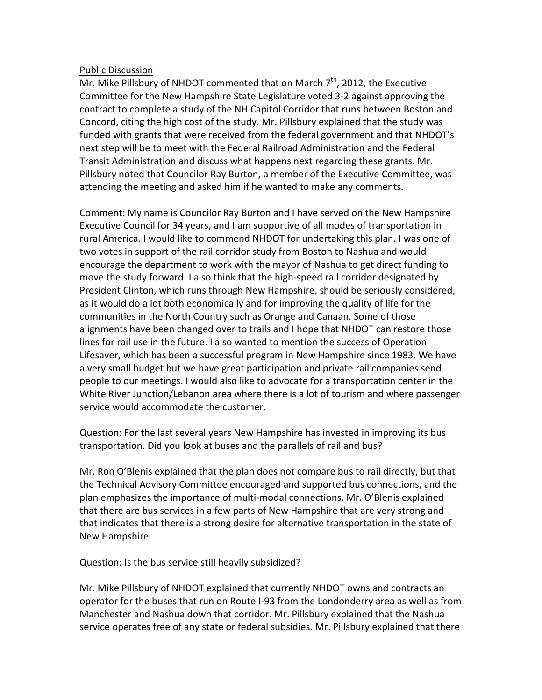## Public Discussion

Mr. Mike Pillsbury of NHDOT commented that on March  $7<sup>th</sup>$ , 2012, the Executive Committee for the New Hampshire State Legislature voted 3-2 against approving the contract to complete a study of the NH Capitol Corridor that runs between Boston and Concord, citing the high cost of the study. Mr. Pillsbury explained that the study was funded with grants that were received from the federal government and that NHDOT's next step will be to meet with the Federal Railroad Administration and the Federal Transit Administration and discuss what happens next regarding these grants. Mr. Pillsbury noted that Councilor Ray Burton, a member of the Executive Committee, was attending the meeting and asked him if he wanted to make any comments.

Comment: My name is Councilor Ray Burton and I have served on the New Hampshire Executive Council for 34 years, and I am supportive of all modes of transportation in rural America. I would like to commend NHDOT for undertaking this plan. I was one of two votes in support of the rail corridor study from Boston to Nashua and would encourage the department to work with the mayor of Nashua to get direct funding to move the study forward. I also think that the high-speed rail corridor designated by President Clinton, which runs through New Hampshire, should be seriously considered, as it would do a lot both economically and for improving the quality of life for the communities in the North Country such as Orange and Canaan. Some of those alignments have been changed over to trails and I hope that NHDOT can restore those lines for rail use in the future. I also wanted to mention the success of Operation Lifesaver, which has been a successful program in New Hampshire since 1983. We have a very small budget but we have great participation and private rail companies send people to our meetings. I would also like to advocate for a transportation center in the White River Junction/Lebanon area where there is a lot of tourism and where passenger service would accommodate the customer.

Question: For the last several years New Hampshire has invested in improving its bus transportation. Did you look at buses and the parallels of rail and bus?

Mr. Ron O'Blenis explained that the plan does not compare bus to rail directly, but that the Technical Advisory Committee encouraged and supported bus connections, and the plan emphasizes the importance of multi-modal connections. Mr. O'Blenis explained that there are bus services in a few parts of New Hampshire that are very strong and that indicates that there is a strong desire for alternative transportation in the state of New Hampshire.

Question: Is the bus service still heavily subsidized?

Mr. Mike Pillsbury of NHDOT explained that currently NHDOT owns and contracts an operator for the buses that run on Route I-93 from the Londonderry area as well as from Manchester and Nashua down that corridor. Mr. Pillsbury explained that the Nashua service operates free of any state or federal subsidies. Mr. Pillsbury explained that there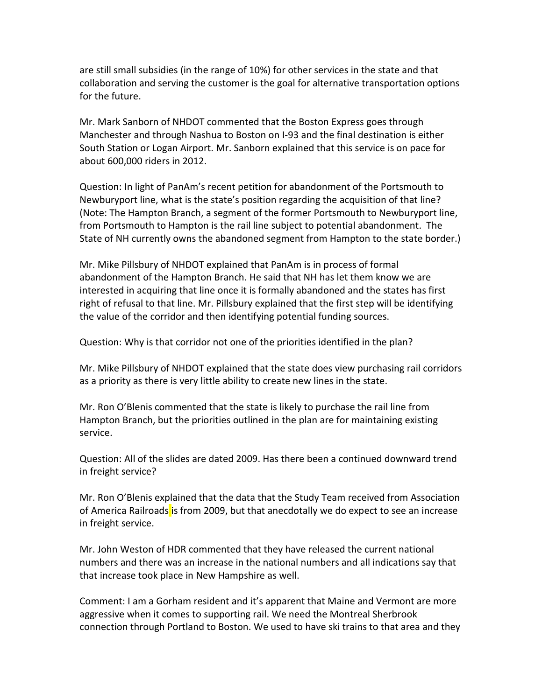are still small subsidies (in the range of 10%) for other services in the state and that collaboration and serving the customer is the goal for alternative transportation options for the future.

Mr. Mark Sanborn of NHDOT commented that the Boston Express goes through Manchester and through Nashua to Boston on I-93 and the final destination is either South Station or Logan Airport. Mr. Sanborn explained that this service is on pace for about 600,000 riders in 2012.

Question: In light of PanAm's recent petition for abandonment of the Portsmouth to Newburyport line, what is the state's position regarding the acquisition of that line? (Note: The Hampton Branch, a segment of the former Portsmouth to Newburyport line, from Portsmouth to Hampton is the rail line subject to potential abandonment. The State of NH currently owns the abandoned segment from Hampton to the state border.)

Mr. Mike Pillsbury of NHDOT explained that PanAm is in process of formal abandonment of the Hampton Branch. He said that NH has let them know we are interested in acquiring that line once it is formally abandoned and the states has first right of refusal to that line. Mr. Pillsbury explained that the first step will be identifying the value of the corridor and then identifying potential funding sources.

Question: Why is that corridor not one of the priorities identified in the plan?

Mr. Mike Pillsbury of NHDOT explained that the state does view purchasing rail corridors as a priority as there is very little ability to create new lines in the state.

Mr. Ron O'Blenis commented that the state is likely to purchase the rail line from Hampton Branch, but the priorities outlined in the plan are for maintaining existing service.

Question: All of the slides are dated 2009. Has there been a continued downward trend in freight service?

Mr. Ron O'Blenis explained that the data that the Study Team received from Association of America Railroads is from 2009, but that anecdotally we do expect to see an increase in freight service.

Mr. John Weston of HDR commented that they have released the current national numbers and there was an increase in the national numbers and all indications say that that increase took place in New Hampshire as well.

Comment: I am a Gorham resident and it's apparent that Maine and Vermont are more aggressive when it comes to supporting rail. We need the Montreal Sherbrook connection through Portland to Boston. We used to have ski trains to that area and they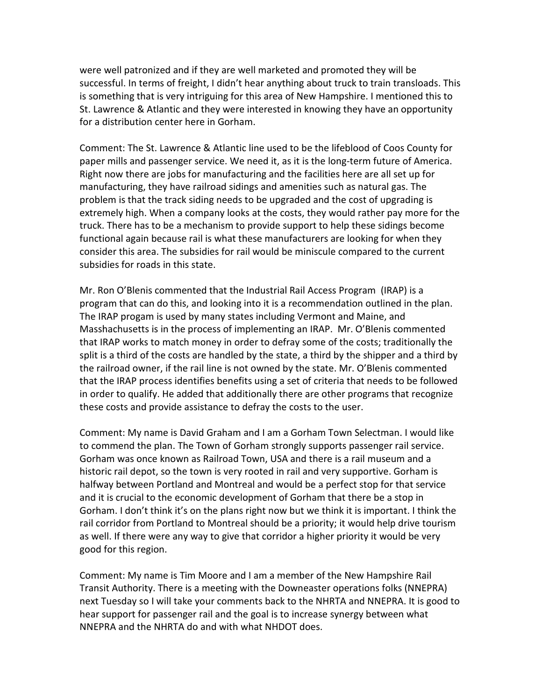were well patronized and if they are well marketed and promoted they will be successful. In terms of freight, I didn't hear anything about truck to train transloads. This is something that is very intriguing for this area of New Hampshire. I mentioned this to St. Lawrence & Atlantic and they were interested in knowing they have an opportunity for a distribution center here in Gorham.

Comment: The St. Lawrence & Atlantic line used to be the lifeblood of Coos County for paper mills and passenger service. We need it, as it is the long-term future of America. Right now there are jobs for manufacturing and the facilities here are all set up for manufacturing, they have railroad sidings and amenities such as natural gas. The problem is that the track siding needs to be upgraded and the cost of upgrading is extremely high. When a company looks at the costs, they would rather pay more for the truck. There has to be a mechanism to provide support to help these sidings become functional again because rail is what these manufacturers are looking for when they consider this area. The subsidies for rail would be miniscule compared to the current subsidies for roads in this state.

Mr. Ron O'Blenis commented that the Industrial Rail Access Program (IRAP) is a program that can do this, and looking into it is a recommendation outlined in the plan. The IRAP progam is used by many states including Vermont and Maine, and Masshachusetts is in the process of implementing an IRAP. Mr. O'Blenis commented that IRAP works to match money in order to defray some of the costs; traditionally the split is a third of the costs are handled by the state, a third by the shipper and a third by the railroad owner, if the rail line is not owned by the state. Mr. O'Blenis commented that the IRAP process identifies benefits using a set of criteria that needs to be followed in order to qualify. He added that additionally there are other programs that recognize these costs and provide assistance to defray the costs to the user.

Comment: My name is David Graham and I am a Gorham Town Selectman. I would like to commend the plan. The Town of Gorham strongly supports passenger rail service. Gorham was once known as Railroad Town, USA and there is a rail museum and a historic rail depot, so the town is very rooted in rail and very supportive. Gorham is halfway between Portland and Montreal and would be a perfect stop for that service and it is crucial to the economic development of Gorham that there be a stop in Gorham. I don't think it's on the plans right now but we think it is important. I think the rail corridor from Portland to Montreal should be a priority; it would help drive tourism as well. If there were any way to give that corridor a higher priority it would be very good for this region.

Comment: My name is Tim Moore and I am a member of the New Hampshire Rail Transit Authority. There is a meeting with the Downeaster operations folks (NNEPRA) next Tuesday so I will take your comments back to the NHRTA and NNEPRA. It is good to hear support for passenger rail and the goal is to increase synergy between what NNEPRA and the NHRTA do and with what NHDOT does.